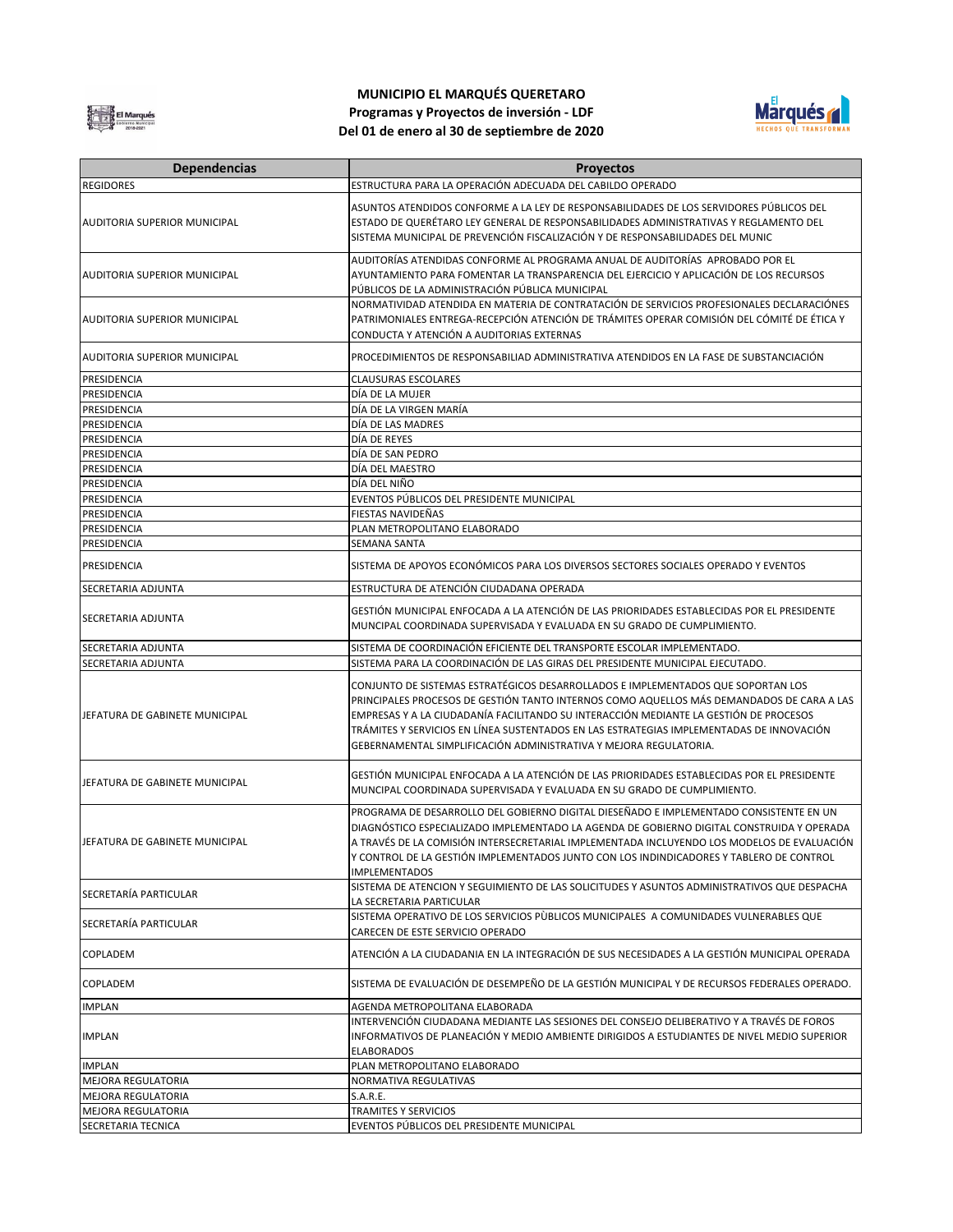

## **MUNICIPIO EL MARQUÉS QUERETARO Programas y Proyectos de inversión - LDF Del 01 de enero al 30 de septiembre de 2020**



| <b>Dependencias</b>                 | Proyectos                                                                                                                                                                               |
|-------------------------------------|-----------------------------------------------------------------------------------------------------------------------------------------------------------------------------------------|
| <b>REGIDORES</b>                    | ESTRUCTURA PARA LA OPERACIÓN ADECUADA DEL CABILDO OPERADO                                                                                                                               |
|                                     |                                                                                                                                                                                         |
| AUDITORIA SUPERIOR MUNICIPAL        | ASUNTOS ATENDIDOS CONFORME A LA LEY DE RESPONSABILIDADES DE LOS SERVIDORES PÚBLICOS DEL<br>ESTADO DE QUERÉTARO LEY GENERAL DE RESPONSABILIDADES ADMINISTRATIVAS Y REGLAMENTO DEL        |
|                                     | SISTEMA MUNICIPAL DE PREVENCIÓN FISCALIZACIÓN Y DE RESPONSABILIDADES DEL MUNIC                                                                                                          |
|                                     |                                                                                                                                                                                         |
|                                     | AUDITORÍAS ATENDIDAS CONFORME AL PROGRAMA ANUAL DE AUDITORÍAS APROBADO POR EL                                                                                                           |
| <b>AUDITORIA SUPERIOR MUNICIPAL</b> | AYUNTAMIENTO PARA FOMENTAR LA TRANSPARENCIA DEL EJERCICIO Y APLICACIÓN DE LOS RECURSOS                                                                                                  |
|                                     | PÚBLICOS DE LA ADMINISTRACIÓN PÚBLICA MUNICIPAL                                                                                                                                         |
|                                     | NORMATIVIDAD ATENDIDA EN MATERIA DE CONTRATACIÓN DE SERVICIOS PROFESIONALES DECLARACIÓNES<br>PATRIMONIALES ENTREGA-RECEPCIÓN ATENCIÓN DE TRÁMITES OPERAR COMISIÓN DEL CÓMITÉ DE ÉTICA Y |
| <b>AUDITORIA SUPERIOR MUNICIPAL</b> | CONDUCTA Y ATENCIÓN A AUDITORIAS EXTERNAS                                                                                                                                               |
|                                     |                                                                                                                                                                                         |
| <b>AUDITORIA SUPERIOR MUNICIPAL</b> | PROCEDIMIENTOS DE RESPONSABILIAD ADMINISTRATIVA ATENDIDOS EN LA FASE DE SUBSTANCIACIÓN                                                                                                  |
| PRESIDENCIA                         | <b>CLAUSURAS ESCOLARES</b>                                                                                                                                                              |
| PRESIDENCIA                         | DÍA DE LA MUJER                                                                                                                                                                         |
| PRESIDENCIA                         | DÍA DE LA VIRGEN MARÍA                                                                                                                                                                  |
| PRESIDENCIA                         | DÍA DE LAS MADRES                                                                                                                                                                       |
| PRESIDENCIA                         | DÍA DE REYES                                                                                                                                                                            |
| PRESIDENCIA                         | DÍA DE SAN PEDRO                                                                                                                                                                        |
| PRESIDENCIA<br>PRESIDENCIA          | DÍA DEL MAESTRO<br>DÍA DEL NIÑO                                                                                                                                                         |
| PRESIDENCIA                         | EVENTOS PÚBLICOS DEL PRESIDENTE MUNICIPAL                                                                                                                                               |
| PRESIDENCIA                         | FIESTAS NAVIDEÑAS                                                                                                                                                                       |
| PRESIDENCIA                         | PLAN METROPOLITANO ELABORADO                                                                                                                                                            |
| PRESIDENCIA                         | SEMANA SANTA                                                                                                                                                                            |
|                                     |                                                                                                                                                                                         |
| PRESIDENCIA                         | SISTEMA DE APOYOS ECONÓMICOS PARA LOS DIVERSOS SECTORES SOCIALES OPERADO Y EVENTOS                                                                                                      |
| SECRETARIA ADJUNTA                  | ESTRUCTURA DE ATENCIÓN CIUDADANA OPERADA                                                                                                                                                |
|                                     | GESTIÓN MUNICIPAL ENFOCADA A LA ATENCIÓN DE LAS PRIORIDADES ESTABLECIDAS POR EL PRESIDENTE                                                                                              |
| SECRETARIA ADJUNTA                  | MUNCIPAL COORDINADA SUPERVISADA Y EVALUADA EN SU GRADO DE CUMPLIMIENTO.                                                                                                                 |
| SECRETARIA ADJUNTA                  | SISTEMA DE COORDINACIÓN EFICIENTE DEL TRANSPORTE ESCOLAR IMPLEMENTADO.                                                                                                                  |
| SECRETARIA ADJUNTA                  | SISTEMA PARA LA COORDINACIÓN DE LAS GIRAS DEL PRESIDENTE MUNICIPAL EJECUTADO.                                                                                                           |
|                                     |                                                                                                                                                                                         |
|                                     | CONJUNTO DE SISTEMAS ESTRATÉGICOS DESARROLLADOS E IMPLEMENTADOS QUE SOPORTAN LOS<br>PRINCIPALES PROCESOS DE GESTIÓN TANTO INTERNOS COMO AQUELLOS MÁS DEMANDADOS DE CARA A LAS           |
| JEFATURA DE GABINETE MUNICIPAL      | EMPRESAS Y A LA CIUDADANÍA FACILITANDO SU INTERACCIÓN MEDIANTE LA GESTIÓN DE PROCESOS                                                                                                   |
|                                     | TRÁMITES Y SERVICIOS EN LÍNEA SUSTENTADOS EN LAS ESTRATEGIAS IMPLEMENTADAS DE INNOVACIÓN                                                                                                |
|                                     | GEBERNAMENTAL SIMPLIFICACIÓN ADMINISTRATIVA Y MEJORA REGULATORIA.                                                                                                                       |
|                                     |                                                                                                                                                                                         |
| JEFATURA DE GABINETE MUNICIPAL      | GESTIÓN MUNICIPAL ENFOCADA A LA ATENCIÓN DE LAS PRIORIDADES ESTABLECIDAS POR EL PRESIDENTE                                                                                              |
|                                     | MUNCIPAL COORDINADA SUPERVISADA Y EVALUADA EN SU GRADO DE CUMPLIMIENTO.                                                                                                                 |
|                                     | PROGRAMA DE DESARROLLO DEL GOBIERNO DIGITAL DIESEÑADO E IMPLEMENTADO CONSISTENTE EN UN                                                                                                  |
|                                     | DIAGNÓSTICO ESPECIALIZADO IMPLEMENTADO LA AGENDA DE GOBIERNO DIGITAL CONSTRUIDA Y OPERADA                                                                                               |
| JEFATURA DE GABINETE MUNICIPAL      | A TRAVÉS DE LA COMISIÓN INTERSECRETARIAL IMPLEMENTADA INCLUYENDO LOS MODELOS DE EVALUACIÓN                                                                                              |
|                                     | Y CONTROL DE LA GESTIÓN IMPLEMENTADOS JUNTO CON LOS INDINDICADORES Y TABLERO DE CONTROL                                                                                                 |
|                                     | <b>IMPLEMENTADOS</b>                                                                                                                                                                    |
| SECRETARÍA PARTICULAR               | SISTEMA DE ATENCION Y SEGUIMIENTO DE LAS SOLICITUDES Y ASUNTOS ADMINISTRATIVOS QUE DESPACHA                                                                                             |
|                                     | LA SECRETARIA PARTICULAR                                                                                                                                                                |
| SECRETARÍA PARTICULAR               | SISTEMA OPERATIVO DE LOS SERVICIOS PÙBLICOS MUNICIPALES A COMUNIDADES VULNERABLES QUE                                                                                                   |
|                                     | CARECEN DE ESTE SERVICIO OPERADO                                                                                                                                                        |
| COPLADEM                            | ATENCIÓN A LA CIUDADANIA EN LA INTEGRACIÓN DE SUS NECESIDADES A LA GESTIÓN MUNICIPAL OPERADA                                                                                            |
| <b>COPLADEM</b>                     | SISTEMA DE EVALUACIÓN DE DESEMPEÑO DE LA GESTIÓN MUNICIPAL Y DE RECURSOS FEDERALES OPERADO.                                                                                             |
| <b>IMPLAN</b>                       | AGENDA METROPOLITANA ELABORADA                                                                                                                                                          |
|                                     | INTERVENCIÓN CIUDADANA MEDIANTE LAS SESIONES DEL CONSEJO DELIBERATIVO Y A TRAVÉS DE FOROS                                                                                               |
| <b>IMPLAN</b>                       | INFORMATIVOS DE PLANEACIÓN Y MEDIO AMBIENTE DIRIGIDOS A ESTUDIANTES DE NIVEL MEDIO SUPERIOR                                                                                             |
|                                     | <b>ELABORADOS</b>                                                                                                                                                                       |
| <b>IMPLAN</b>                       | PLAN METROPOLITANO ELABORADO                                                                                                                                                            |
| <b>MEJORA REGULATORIA</b>           | NORMATIVA REGULATIVAS                                                                                                                                                                   |
| <b>MEJORA REGULATORIA</b>           | S.A.R.E.                                                                                                                                                                                |
| MEJORA REGULATORIA                  | <b>TRAMITES Y SERVICIOS</b>                                                                                                                                                             |
| SECRETARIA TECNICA                  | EVENTOS PÚBLICOS DEL PRESIDENTE MUNICIPAL                                                                                                                                               |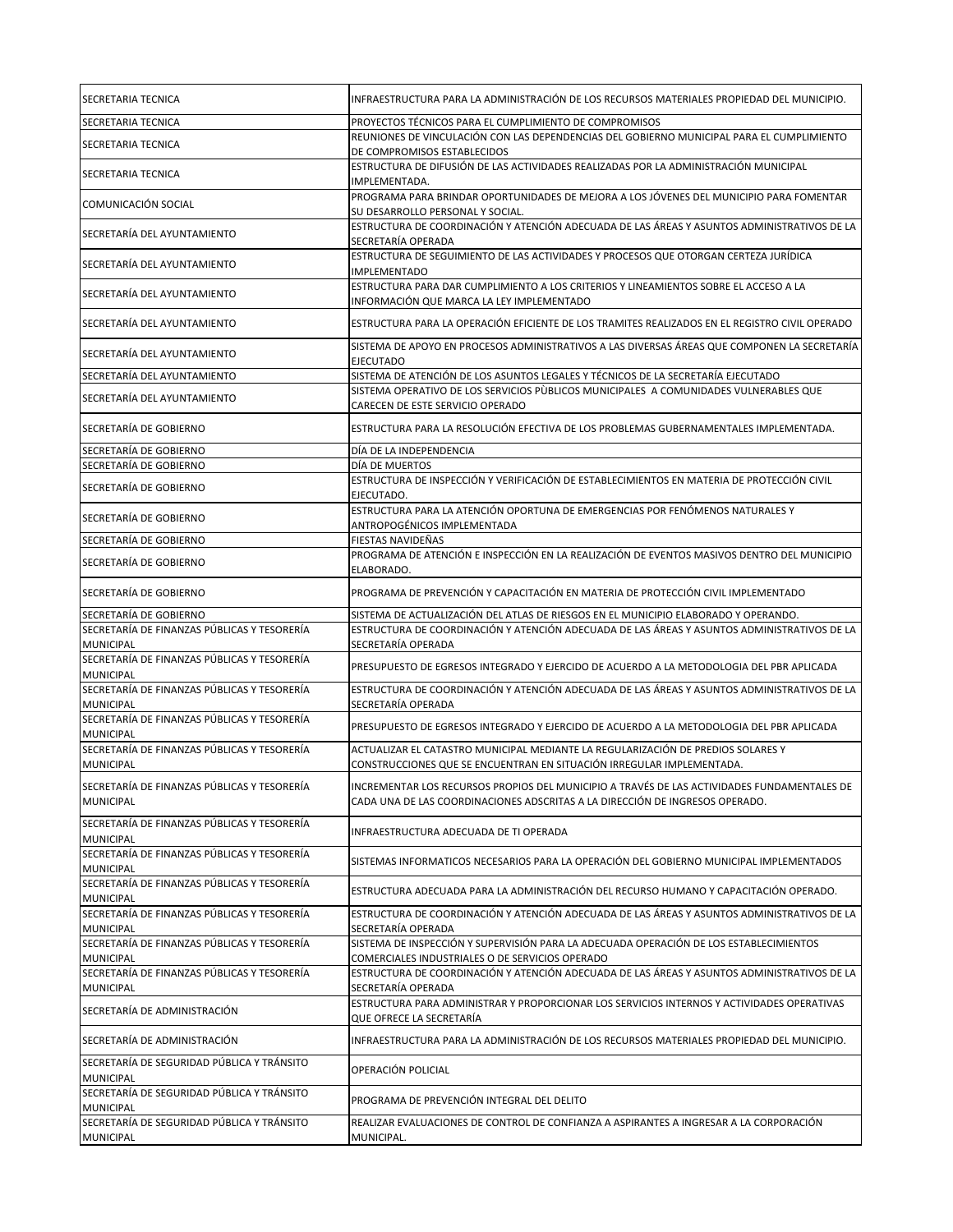| SECRETARIA TECNICA                                              | INFRAESTRUCTURA PARA LA ADMINISTRACIÓN DE LOS RECURSOS MATERIALES PROPIEDAD DEL MUNICIPIO.                                                                                  |
|-----------------------------------------------------------------|-----------------------------------------------------------------------------------------------------------------------------------------------------------------------------|
| SECRETARIA TECNICA                                              | PROYECTOS TÉCNICOS PARA EL CUMPLIMIENTO DE COMPROMISOS                                                                                                                      |
| SECRETARIA TECNICA                                              | REUNIONES DE VINCULACIÓN CON LAS DEPENDENCIAS DEL GOBIERNO MUNICIPAL PARA EL CUMPLIMIENTO<br>DE COMPROMISOS ESTABLECIDOS                                                    |
| SECRETARIA TECNICA                                              | ESTRUCTURA DE DIFUSIÓN DE LAS ACTIVIDADES REALIZADAS POR LA ADMINISTRACIÓN MUNICIPAL<br>IMPLEMENTADA.                                                                       |
| COMUNICACIÓN SOCIAL                                             | PROGRAMA PARA BRINDAR OPORTUNIDADES DE MEJORA A LOS JÓVENES DEL MUNICIPIO PARA FOMENTAR<br>SU DESARROLLO PERSONAL Y SOCIAL.                                                 |
| SECRETARÍA DEL AYUNTAMIENTO                                     | ESTRUCTURA DE COORDINACIÓN Y ATENCIÓN ADECUADA DE LAS ÁREAS Y ASUNTOS ADMINISTRATIVOS DE LA<br>SECRETARÍA OPERADA                                                           |
| SECRETARÍA DEL AYUNTAMIENTO                                     | ESTRUCTURA DE SEGUIMIENTO DE LAS ACTIVIDADES Y PROCESOS QUE OTORGAN CERTEZA JURÍDICA<br><b>IMPLEMENTADO</b>                                                                 |
| SECRETARÍA DEL AYUNTAMIENTO                                     | ESTRUCTURA PARA DAR CUMPLIMIENTO A LOS CRITERIOS Y LINEAMIENTOS SOBRE EL ACCESO A LA<br>INFORMACIÓN QUE MARCA LA LEY IMPLEMENTADO                                           |
| SECRETARÍA DEL AYUNTAMIENTO                                     | ESTRUCTURA PARA LA OPERACIÓN EFICIENTE DE LOS TRAMITES REALIZADOS EN EL REGISTRO CIVIL OPERADO                                                                              |
| SECRETARÍA DEL AYUNTAMIENTO                                     | SISTEMA DE APOYO EN PROCESOS ADMINISTRATIVOS A LAS DIVERSAS ÁREAS QUE COMPONEN LA SECRETARÍA<br><b>EJECUTADO</b>                                                            |
| SECRETARÍA DEL AYUNTAMIENTO                                     | SISTEMA DE ATENCIÓN DE LOS ASUNTOS LEGALES Y TÉCNICOS DE LA SECRETARÍA EJECUTADO                                                                                            |
| SECRETARÍA DEL AYUNTAMIENTO                                     | SISTEMA OPERATIVO DE LOS SERVICIOS PÙBLICOS MUNICIPALES A COMUNIDADES VULNERABLES QUE<br>CARECEN DE ESTE SERVICIO OPERADO                                                   |
| SECRETARÍA DE GOBIERNO                                          | ESTRUCTURA PARA LA RESOLUCIÓN EFECTIVA DE LOS PROBLEMAS GUBERNAMENTALES IMPLEMENTADA.                                                                                       |
| SECRETARÍA DE GOBIERNO                                          | DÍA DE LA INDEPENDENCIA                                                                                                                                                     |
| SECRETARÍA DE GOBIERNO                                          | DÍA DE MUERTOS                                                                                                                                                              |
| SECRETARÍA DE GOBIERNO                                          | ESTRUCTURA DE INSPECCIÓN Y VERIFICACIÓN DE ESTABLECIMIENTOS EN MATERIA DE PROTECCIÓN CIVIL<br>EJECUTADO.                                                                    |
| SECRETARÍA DE GOBIERNO                                          | ESTRUCTURA PARA LA ATENCIÓN OPORTUNA DE EMERGENCIAS POR FENÓMENOS NATURALES Y<br>ANTROPOGÉNICOS IMPLEMENTADA                                                                |
| SECRETARÍA DE GOBIERNO                                          | FIESTAS NAVIDEÑAS                                                                                                                                                           |
| SECRETARÍA DE GOBIERNO                                          | PROGRAMA DE ATENCIÓN E INSPECCIÓN EN LA REALIZACIÓN DE EVENTOS MASIVOS DENTRO DEL MUNICIPIO<br>ELABORADO.                                                                   |
| SECRETARÍA DE GOBIERNO                                          | PROGRAMA DE PREVENCIÓN Y CAPACITACIÓN EN MATERIA DE PROTECCIÓN CIVIL IMPLEMENTADO                                                                                           |
| SECRETARÍA DE GOBIERNO                                          | SISTEMA DE ACTUALIZACIÓN DEL ATLAS DE RIESGOS EN EL MUNICIPIO ELABORADO Y OPERANDO.                                                                                         |
| SECRETARÍA DE FINANZAS PÚBLICAS Y TESORERÍA<br><b>MUNICIPAL</b> | ESTRUCTURA DE COORDINACIÓN Y ATENCIÓN ADECUADA DE LAS ÁREAS Y ASUNTOS ADMINISTRATIVOS DE LA<br>SECRETARÍA OPERADA                                                           |
| SECRETARÍA DE FINANZAS PÚBLICAS Y TESORERÍA                     |                                                                                                                                                                             |
| <b>MUNICIPAL</b>                                                | PRESUPUESTO DE EGRESOS INTEGRADO Y EJERCIDO DE ACUERDO A LA METODOLOGIA DEL PBR APLICADA                                                                                    |
| SECRETARÍA DE FINANZAS PÚBLICAS Y TESORERÍA<br><b>MUNICIPAL</b> | ESTRUCTURA DE COORDINACIÓN Y ATENCIÓN ADECUADA DE LAS ÁREAS Y ASUNTOS ADMINISTRATIVOS DE LA<br>SECRETARÍA OPERADA                                                           |
| SECRETARÍA DE FINANZAS PÚBLICAS Y TESORERÍA<br><b>MUNICIPAL</b> | PRESUPUESTO DE EGRESOS INTEGRADO Y EJERCIDO DE ACUERDO A LA METODOLOGIA DEL PBR APLICADA                                                                                    |
| SECRETARÍA DE FINANZAS PÚBLICAS Y TESORERÍA<br><b>MUNICIPAL</b> | ACTUALIZAR EL CATASTRO MUNICIPAL MEDIANTE LA REGULARIZACIÓN DE PREDIOS SOLARES Y<br>CONSTRUCCIONES QUE SE ENCUENTRAN EN SITUACIÓN IRREGULAR IMPLEMENTADA.                   |
| SECRETARÍA DE FINANZAS PÚBLICAS Y TESORERÍA<br><b>MUNICIPAL</b> | INCREMENTAR LOS RECURSOS PROPIOS DEL MUNICIPIO A TRAVÉS DE LAS ACTIVIDADES FUNDAMENTALES DE<br>CADA UNA DE LAS COORDINACIONES ADSCRITAS A LA DIRECCIÓN DE INGRESOS OPERADO. |
| SECRETARÍA DE FINANZAS PÚBLICAS Y TESORERÍA<br><b>MUNICIPAL</b> | INFRAESTRUCTURA ADECUADA DE TI OPERADA                                                                                                                                      |
| SECRETARÍA DE FINANZAS PÚBLICAS Y TESORERÍA<br><b>MUNICIPAL</b> | SISTEMAS INFORMATICOS NECESARIOS PARA LA OPERACIÓN DEL GOBIERNO MUNICIPAL IMPLEMENTADOS                                                                                     |
| SECRETARÍA DE FINANZAS PÚBLICAS Y TESORERÍA<br><b>MUNICIPAL</b> | ESTRUCTURA ADECUADA PARA LA ADMINISTRACIÓN DEL RECURSO HUMANO Y CAPACITACIÓN OPERADO.                                                                                       |
| SECRETARÍA DE FINANZAS PÚBLICAS Y TESORERÍA<br><b>MUNICIPAL</b> | ESTRUCTURA DE COORDINACIÓN Y ATENCIÓN ADECUADA DE LAS ÁREAS Y ASUNTOS ADMINISTRATIVOS DE LA<br>SECRETARÍA OPERADA                                                           |
| SECRETARÍA DE FINANZAS PÚBLICAS Y TESORERÍA<br><b>MUNICIPAL</b> | SISTEMA DE INSPECCIÓN Y SUPERVISIÓN PARA LA ADECUADA OPERACIÓN DE LOS ESTABLECIMIENTOS<br>COMERCIALES INDUSTRIALES O DE SERVICIOS OPERADO                                   |
| SECRETARÍA DE FINANZAS PÚBLICAS Y TESORERÍA                     | ESTRUCTURA DE COORDINACIÓN Y ATENCIÓN ADECUADA DE LAS ÁREAS Y ASUNTOS ADMINISTRATIVOS DE LA                                                                                 |
| <b>MUNICIPAL</b>                                                | SECRETARÍA OPERADA                                                                                                                                                          |
| SECRETARÍA DE ADMINISTRACIÓN                                    | ESTRUCTURA PARA ADMINISTRAR Y PROPORCIONAR LOS SERVICIOS INTERNOS Y ACTIVIDADES OPERATIVAS<br>QUE OFRECE LA SECRETARÍA                                                      |
| SECRETARÍA DE ADMINISTRACIÓN                                    | INFRAESTRUCTURA PARA LA ADMINISTRACIÓN DE LOS RECURSOS MATERIALES PROPIEDAD DEL MUNICIPIO.                                                                                  |
| SECRETARÍA DE SEGURIDAD PÚBLICA Y TRÁNSITO<br><b>MUNICIPAL</b>  | OPERACIÓN POLICIAL                                                                                                                                                          |
| SECRETARÍA DE SEGURIDAD PÚBLICA Y TRÁNSITO<br><b>MUNICIPAL</b>  | PROGRAMA DE PREVENCIÓN INTEGRAL DEL DELITO                                                                                                                                  |
| SECRETARÍA DE SEGURIDAD PÚBLICA Y TRÁNSITO                      | REALIZAR EVALUACIONES DE CONTROL DE CONFIANZA A ASPIRANTES A INGRESAR A LA CORPORACIÓN                                                                                      |
| <b>MUNICIPAL</b>                                                | MUNICIPAL.                                                                                                                                                                  |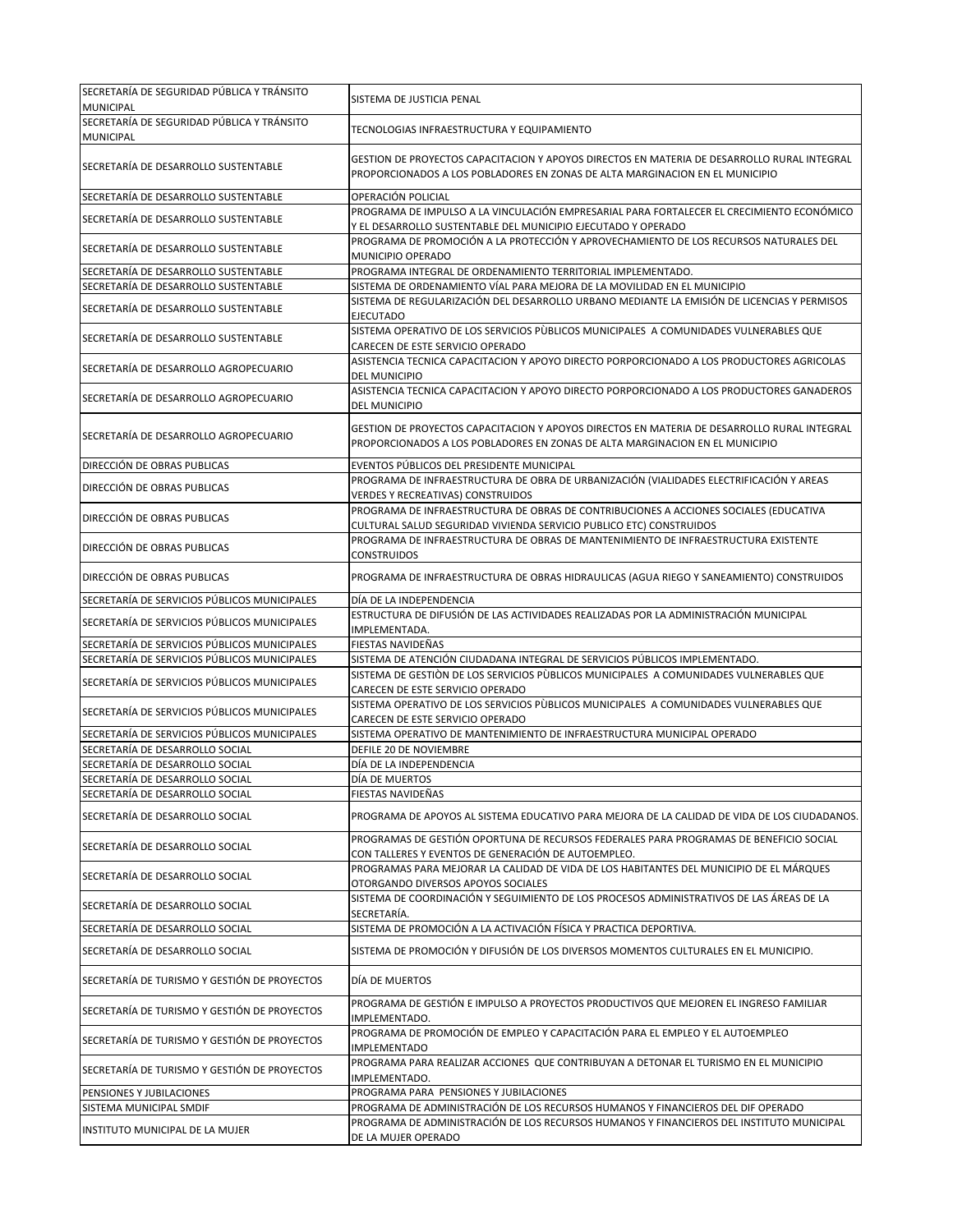| SECRETARÍA DE SEGURIDAD PÚBLICA Y TRÁNSITO<br><b>MUNICIPAL</b>     | SISTEMA DE JUSTICIA PENAL                                                                                                                                                   |
|--------------------------------------------------------------------|-----------------------------------------------------------------------------------------------------------------------------------------------------------------------------|
| SECRETARÍA DE SEGURIDAD PÚBLICA Y TRÁNSITO<br><b>MUNICIPAL</b>     | TECNOLOGIAS INFRAESTRUCTURA Y EQUIPAMIENTO                                                                                                                                  |
| SECRETARÍA DE DESARROLLO SUSTENTABLE                               | GESTION DE PROYECTOS CAPACITACION Y APOYOS DIRECTOS EN MATERIA DE DESARROLLO RURAL INTEGRAL<br>PROPORCIONADOS A LOS POBLADORES EN ZONAS DE ALTA MARGINACION EN EL MUNICIPIO |
| SECRETARÍA DE DESARROLLO SUSTENTABLE                               | OPERACIÓN POLICIAL                                                                                                                                                          |
| SECRETARÍA DE DESARROLLO SUSTENTABLE                               | PROGRAMA DE IMPULSO A LA VINCULACIÓN EMPRESARIAL PARA FORTALECER EL CRECIMIENTO ECONÓMICO<br>Y EL DESARROLLO SUSTENTABLE DEL MUNICIPIO EJECUTADO Y OPERADO                  |
| SECRETARÍA DE DESARROLLO SUSTENTABLE                               | PROGRAMA DE PROMOCIÓN A LA PROTECCIÓN Y APROVECHAMIENTO DE LOS RECURSOS NATURALES DEL<br>MUNICIPIO OPERADO                                                                  |
| SECRETARÍA DE DESARROLLO SUSTENTABLE                               | PROGRAMA INTEGRAL DE ORDENAMIENTO TERRITORIAL IMPLEMENTADO.                                                                                                                 |
| SECRETARÍA DE DESARROLLO SUSTENTABLE                               | SISTEMA DE ORDENAMIENTO VÍAL PARA MEJORA DE LA MOVILIDAD EN EL MUNICIPIO                                                                                                    |
| SECRETARÍA DE DESARROLLO SUSTENTABLE                               | SISTEMA DE REGULARIZACIÓN DEL DESARROLLO URBANO MEDIANTE LA EMISIÓN DE LICENCIAS Y PERMISOS<br><b>EJECUTADO</b>                                                             |
| SECRETARÍA DE DESARROLLO SUSTENTABLE                               | SISTEMA OPERATIVO DE LOS SERVICIOS PÙBLICOS MUNICIPALES A COMUNIDADES VULNERABLES QUE<br>CARECEN DE ESTE SERVICIO OPERADO                                                   |
| SECRETARÍA DE DESARROLLO AGROPECUARIO                              | ASISTENCIA TECNICA CAPACITACION Y APOYO DIRECTO PORPORCIONADO A LOS PRODUCTORES AGRICOLAS<br><b>DEL MUNICIPIO</b>                                                           |
| SECRETARÍA DE DESARROLLO AGROPECUARIO                              | ASISTENCIA TECNICA CAPACITACION Y APOYO DIRECTO PORPORCIONADO A LOS PRODUCTORES GANADEROS<br><b>DEL MUNICIPIO</b>                                                           |
| SECRETARÍA DE DESARROLLO AGROPECUARIO                              | GESTION DE PROYECTOS CAPACITACION Y APOYOS DIRECTOS EN MATERIA DE DESARROLLO RURAL INTEGRAL<br>PROPORCIONADOS A LOS POBLADORES EN ZONAS DE ALTA MARGINACION EN EL MUNICIPIO |
| DIRECCIÓN DE OBRAS PUBLICAS                                        | EVENTOS PÚBLICOS DEL PRESIDENTE MUNICIPAL                                                                                                                                   |
| DIRECCIÓN DE OBRAS PUBLICAS                                        | PROGRAMA DE INFRAESTRUCTURA DE OBRA DE URBANIZACIÓN (VIALIDADES ELECTRIFICACIÓN Y AREAS                                                                                     |
|                                                                    | VERDES Y RECREATIVAS) CONSTRUIDOS                                                                                                                                           |
| DIRECCIÓN DE OBRAS PUBLICAS                                        | PROGRAMA DE INFRAESTRUCTURA DE OBRAS DE CONTRIBUCIONES A ACCIONES SOCIALES (EDUCATIVA<br>CULTURAL SALUD SEGURIDAD VIVIENDA SERVICIO PUBLICO ETC) CONSTRUIDOS                |
| DIRECCIÓN DE OBRAS PUBLICAS                                        | PROGRAMA DE INFRAESTRUCTURA DE OBRAS DE MANTENIMIENTO DE INFRAESTRUCTURA EXISTENTE<br><b>CONSTRUIDOS</b>                                                                    |
| DIRECCIÓN DE OBRAS PUBLICAS                                        | PROGRAMA DE INFRAESTRUCTURA DE OBRAS HIDRAULICAS (AGUA RIEGO Y SANEAMIENTO) CONSTRUIDOS                                                                                     |
| SECRETARÍA DE SERVICIOS PÚBLICOS MUNICIPALES                       | DÍA DE LA INDEPENDENCIA                                                                                                                                                     |
| SECRETARÍA DE SERVICIOS PÚBLICOS MUNICIPALES                       | ESTRUCTURA DE DIFUSIÓN DE LAS ACTIVIDADES REALIZADAS POR LA ADMINISTRACIÓN MUNICIPAL<br>IMPLEMENTADA.                                                                       |
| SECRETARÍA DE SERVICIOS PÚBLICOS MUNICIPALES                       | FIESTAS NAVIDEÑAS                                                                                                                                                           |
| SECRETARÍA DE SERVICIOS PÚBLICOS MUNICIPALES                       | SISTEMA DE ATENCIÓN CIUDADANA INTEGRAL DE SERVICIOS PÚBLICOS IMPLEMENTADO.                                                                                                  |
| SECRETARÍA DE SERVICIOS PÚBLICOS MUNICIPALES                       | SISTEMA DE GESTIÓN DE LOS SERVICIOS PÙBLICOS MUNICIPALES A COMUNIDADES VULNERABLES QUE<br>CARECEN DE ESTE SERVICIO OPERADO                                                  |
| SECRETARÍA DE SERVICIOS PÚBLICOS MUNICIPALES                       | SISTEMA OPERATIVO DE LOS SERVICIOS PÙBLICOS MUNICIPALES A COMUNIDADES VULNERABLES QUE<br>CARECEN DE ESTE SERVICIO OPERADO                                                   |
| SECRETARÍA DE SERVICIOS PÚBLICOS MUNICIPALES                       | SISTEMA OPERATIVO DE MANTENIMIENTO DE INFRAESTRUCTURA MUNICIPAL OPERADO                                                                                                     |
| SECRETARÍA DE DESARROLLO SOCIAL                                    | DEFILE 20 DE NOVIEMBRE                                                                                                                                                      |
| SECRETARÍA DE DESARROLLO SOCIAL<br>SECRETARÍA DE DESARROLLO SOCIAL | DÍA DE LA INDEPENDENCIA                                                                                                                                                     |
| SECRETARÍA DE DESARROLLO SOCIAL                                    | DÍA DE MUERTOS<br>FIESTAS NAVIDEÑAS                                                                                                                                         |
| SECRETARÍA DE DESARROLLO SOCIAL                                    | PROGRAMA DE APOYOS AL SISTEMA EDUCATIVO PARA MEJORA DE LA CALIDAD DE VIDA DE LOS CIUDADANOS.                                                                                |
| SECRETARÍA DE DESARROLLO SOCIAL                                    | PROGRAMAS DE GESTIÓN OPORTUNA DE RECURSOS FEDERALES PARA PROGRAMAS DE BENEFICIO SOCIAL<br>CON TALLERES Y EVENTOS DE GENERACIÓN DE AUTOEMPLEO.                               |
| SECRETARÍA DE DESARROLLO SOCIAL                                    | PROGRAMAS PARA MEJORAR LA CALIDAD DE VIDA DE LOS HABITANTES DEL MUNICIPIO DE EL MÁRQUES                                                                                     |
| SECRETARÍA DE DESARROLLO SOCIAL                                    | OTORGANDO DIVERSOS APOYOS SOCIALES<br>SISTEMA DE COORDINACIÓN Y SEGUIMIENTO DE LOS PROCESOS ADMINISTRATIVOS DE LAS ÁREAS DE LA                                              |
| SECRETARÍA DE DESARROLLO SOCIAL                                    | SECRETARÍA.<br>SISTEMA DE PROMOCIÓN A LA ACTIVACIÓN FÍSICA Y PRACTICA DEPORTIVA.                                                                                            |
| SECRETARÍA DE DESARROLLO SOCIAL                                    | SISTEMA DE PROMOCIÓN Y DIFUSIÓN DE LOS DIVERSOS MOMENTOS CULTURALES EN EL MUNICIPIO.                                                                                        |
| SECRETARÍA DE TURISMO Y GESTIÓN DE PROYECTOS                       | DÍA DE MUERTOS                                                                                                                                                              |
| SECRETARÍA DE TURISMO Y GESTIÓN DE PROYECTOS                       | PROGRAMA DE GESTIÓN E IMPULSO A PROYECTOS PRODUCTIVOS QUE MEJOREN EL INGRESO FAMILIAR<br>IMPLEMENTADO.                                                                      |
| SECRETARÍA DE TURISMO Y GESTIÓN DE PROYECTOS                       | PROGRAMA DE PROMOCIÓN DE EMPLEO Y CAPACITACIÓN PARA EL EMPLEO Y EL AUTOEMPLEO<br><b>IMPLEMENTADO</b>                                                                        |
| SECRETARÍA DE TURISMO Y GESTIÓN DE PROYECTOS                       | PROGRAMA PARA REALIZAR ACCIONES QUE CONTRIBUYAN A DETONAR EL TURISMO EN EL MUNICIPIO<br>IMPLEMENTADO.                                                                       |
| PENSIONES Y JUBILACIONES                                           | PROGRAMA PARA PENSIONES Y JUBILACIONES                                                                                                                                      |
| SISTEMA MUNICIPAL SMDIF                                            | PROGRAMA DE ADMINISTRACIÓN DE LOS RECURSOS HUMANOS Y FINANCIEROS DEL DIF OPERADO                                                                                            |
| INSTITUTO MUNICIPAL DE LA MUJER                                    | PROGRAMA DE ADMINISTRACIÓN DE LOS RECURSOS HUMANOS Y FINANCIEROS DEL INSTITUTO MUNICIPAL<br>DE LA MUJER OPERADO                                                             |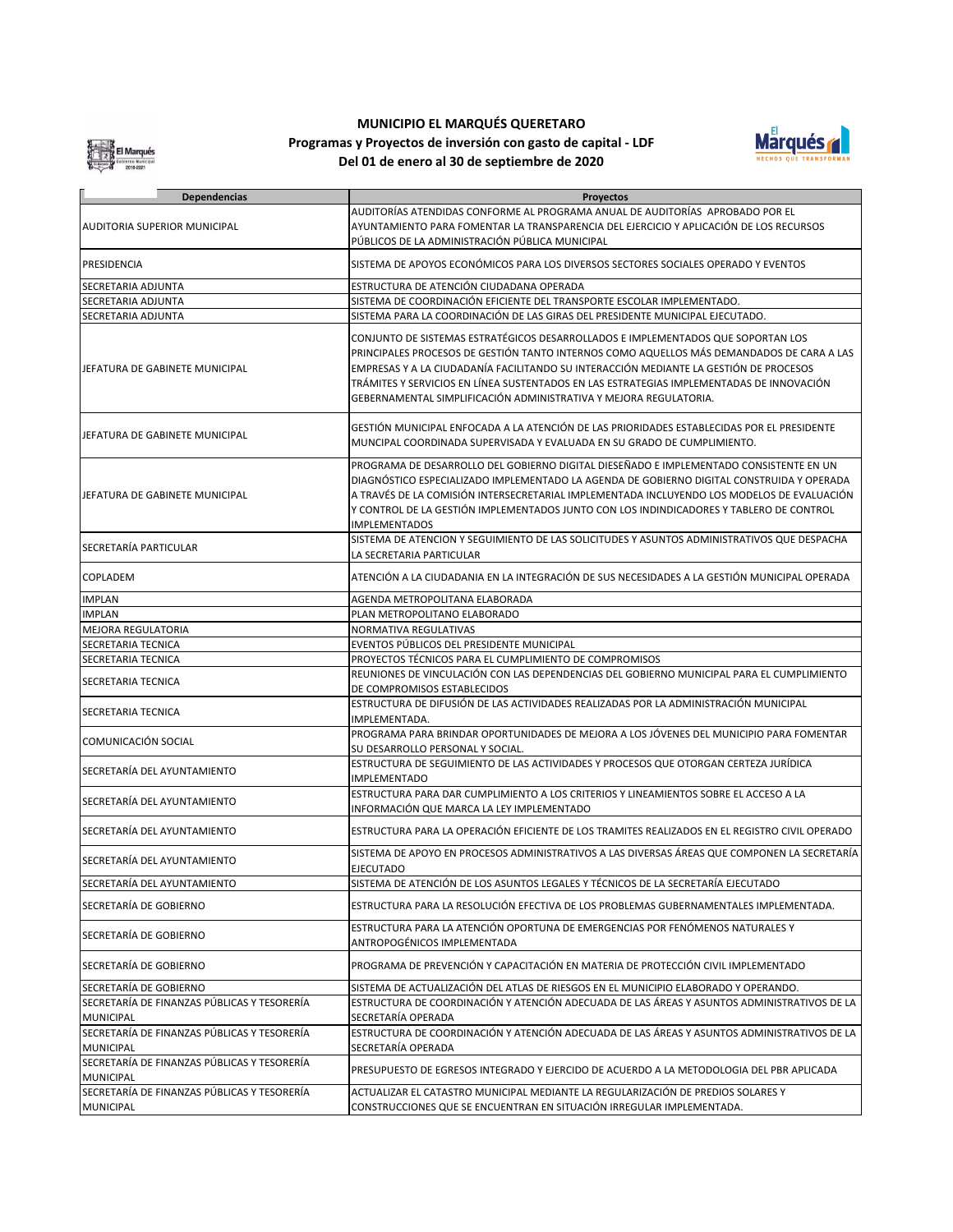El Marqués

## **MUNICIPIO EL MARQUÉS QUERETARO**

**Del 01 de enero al 30 de septiembre de 2020 Programas y Proyectos de inversión con gasto de capital - LDF**



| <b>Dependencias</b>                                             | <b>Proyectos</b>                                                                                                                                                                                                                                                                                                                                                                                                                        |
|-----------------------------------------------------------------|-----------------------------------------------------------------------------------------------------------------------------------------------------------------------------------------------------------------------------------------------------------------------------------------------------------------------------------------------------------------------------------------------------------------------------------------|
|                                                                 | AUDITORÍAS ATENDIDAS CONFORME AL PROGRAMA ANUAL DE AUDITORÍAS APROBADO POR EL                                                                                                                                                                                                                                                                                                                                                           |
| <b>AUDITORIA SUPERIOR MUNICIPAL</b>                             | AYUNTAMIENTO PARA FOMENTAR LA TRANSPARENCIA DEL EJERCICIO Y APLICACIÓN DE LOS RECURSOS                                                                                                                                                                                                                                                                                                                                                  |
|                                                                 | PÚBLICOS DE LA ADMINISTRACIÓN PÚBLICA MUNICIPAL                                                                                                                                                                                                                                                                                                                                                                                         |
| PRESIDENCIA                                                     | SISTEMA DE APOYOS ECONÓMICOS PARA LOS DIVERSOS SECTORES SOCIALES OPERADO Y EVENTOS                                                                                                                                                                                                                                                                                                                                                      |
| SECRETARIA ADJUNTA                                              | ESTRUCTURA DE ATENCIÓN CIUDADANA OPERADA                                                                                                                                                                                                                                                                                                                                                                                                |
| SECRETARIA ADJUNTA                                              | SISTEMA DE COORDINACIÓN EFICIENTE DEL TRANSPORTE ESCOLAR IMPLEMENTADO.                                                                                                                                                                                                                                                                                                                                                                  |
| SECRETARIA ADJUNTA                                              | SISTEMA PARA LA COORDINACIÓN DE LAS GIRAS DEL PRESIDENTE MUNICIPAL EJECUTADO.                                                                                                                                                                                                                                                                                                                                                           |
| JEFATURA DE GABINETE MUNICIPAL                                  | CONJUNTO DE SISTEMAS ESTRATÉGICOS DESARROLLADOS E IMPLEMENTADOS QUE SOPORTAN LOS<br>PRINCIPALES PROCESOS DE GESTIÓN TANTO INTERNOS COMO AQUELLOS MÁS DEMANDADOS DE CARA A LAS<br>EMPRESAS Y A LA CIUDADANÍA FACILITANDO SU INTERACCIÓN MEDIANTE LA GESTIÓN DE PROCESOS<br>TRÁMITES Y SERVICIOS EN LÍNEA SUSTENTADOS EN LAS ESTRATEGIAS IMPLEMENTADAS DE INNOVACIÓN<br>GEBERNAMENTAL SIMPLIFICACIÓN ADMINISTRATIVA Y MEJORA REGULATORIA. |
| JEFATURA DE GABINETE MUNICIPAL                                  | GESTIÓN MUNICIPAL ENFOCADA A LA ATENCIÓN DE LAS PRIORIDADES ESTABLECIDAS POR EL PRESIDENTE<br>MUNCIPAL COORDINADA SUPERVISADA Y EVALUADA EN SU GRADO DE CUMPLIMIENTO.                                                                                                                                                                                                                                                                   |
| JEFATURA DE GABINETE MUNICIPAL                                  | PROGRAMA DE DESARROLLO DEL GOBIERNO DIGITAL DIESEÑADO E IMPLEMENTADO CONSISTENTE EN UN<br>DIAGNÓSTICO ESPECIALIZADO IMPLEMENTADO LA AGENDA DE GOBIERNO DIGITAL CONSTRUIDA Y OPERADA<br>A TRAVÉS DE LA COMISIÓN INTERSECRETARIAL IMPLEMENTADA INCLUYENDO LOS MODELOS DE EVALUACIÓN<br>Y CONTROL DE LA GESTIÓN IMPLEMENTADOS JUNTO CON LOS INDINDICADORES Y TABLERO DE CONTROL<br><b>IMPLEMENTADOS</b>                                    |
| SECRETARÍA PARTICULAR                                           | SISTEMA DE ATENCION Y SEGUIMIENTO DE LAS SOLICITUDES Y ASUNTOS ADMINISTRATIVOS QUE DESPACHA<br>LA SECRETARIA PARTICULAR                                                                                                                                                                                                                                                                                                                 |
| COPLADEM                                                        | ATENCIÓN A LA CIUDADANIA EN LA INTEGRACIÓN DE SUS NECESIDADES A LA GESTIÓN MUNICIPAL OPERADA                                                                                                                                                                                                                                                                                                                                            |
| <b>IMPLAN</b>                                                   | AGENDA METROPOLITANA ELABORADA                                                                                                                                                                                                                                                                                                                                                                                                          |
| <b>IMPLAN</b>                                                   | PLAN METROPOLITANO ELABORADO                                                                                                                                                                                                                                                                                                                                                                                                            |
| <b>MEJORA REGULATORIA</b>                                       | NORMATIVA REGULATIVAS                                                                                                                                                                                                                                                                                                                                                                                                                   |
| SECRETARIA TECNICA                                              | EVENTOS PÚBLICOS DEL PRESIDENTE MUNICIPAL                                                                                                                                                                                                                                                                                                                                                                                               |
| SECRETARIA TECNICA                                              | PROYECTOS TÉCNICOS PARA EL CUMPLIMIENTO DE COMPROMISOS                                                                                                                                                                                                                                                                                                                                                                                  |
| SECRETARIA TECNICA                                              | REUNIONES DE VINCULACIÓN CON LAS DEPENDENCIAS DEL GOBIERNO MUNICIPAL PARA EL CUMPLIMIENTO<br>DE COMPROMISOS ESTABLECIDOS                                                                                                                                                                                                                                                                                                                |
| SECRETARIA TECNICA                                              | ESTRUCTURA DE DIFUSIÓN DE LAS ACTIVIDADES REALIZADAS POR LA ADMINISTRACIÓN MUNICIPAL<br>IMPLEMENTADA.                                                                                                                                                                                                                                                                                                                                   |
| COMUNICACIÓN SOCIAL                                             | PROGRAMA PARA BRINDAR OPORTUNIDADES DE MEJORA A LOS JÓVENES DEL MUNICIPIO PARA FOMENTAR<br>SU DESARROLLO PERSONAL Y SOCIAL.                                                                                                                                                                                                                                                                                                             |
| SECRETARÍA DEL AYUNTAMIENTO                                     | ESTRUCTURA DE SEGUIMIENTO DE LAS ACTIVIDADES Y PROCESOS QUE OTORGAN CERTEZA JURÍDICA<br><b>IMPLEMENTADO</b>                                                                                                                                                                                                                                                                                                                             |
| SECRETARÍA DEL AYUNTAMIENTO                                     | ESTRUCTURA PARA DAR CUMPLIMIENTO A LOS CRITERIOS Y LINEAMIENTOS SOBRE EL ACCESO A LA<br>INFORMACIÓN QUE MARCA LA LEY IMPLEMENTADO                                                                                                                                                                                                                                                                                                       |
| SECRETARÍA DEL AYUNTAMIENTO                                     | ESTRUCTURA PARA LA OPERACIÓN EFICIENTE DE LOS TRAMITES REALIZADOS EN EL REGISTRO CIVIL OPERADO                                                                                                                                                                                                                                                                                                                                          |
| SECRETARÍA DEL AYUNTAMIENTO                                     | SISTEMA DE APOYO EN PROCESOS ADMINISTRATIVOS A LAS DIVERSAS ÁREAS QUE COMPONEN LA SECRETARÍA<br><b>EJECUTADO</b>                                                                                                                                                                                                                                                                                                                        |
| SECRETARÍA DEL AYUNTAMIENTO                                     | SISTEMA DE ATENCIÓN DE LOS ASUNTOS LEGALES Y TÉCNICOS DE LA SECRETARÍA EJECUTADO                                                                                                                                                                                                                                                                                                                                                        |
| SECRETARÍA DE GOBIERNO                                          | ESTRUCTURA PARA LA RESOLUCIÓN EFECTIVA DE LOS PROBLEMAS GUBERNAMENTALES IMPLEMENTADA.                                                                                                                                                                                                                                                                                                                                                   |
| SECRETARÍA DE GOBIERNO                                          | ESTRUCTURA PARA LA ATENCIÓN OPORTUNA DE EMERGENCIAS POR FENÓMENOS NATURALES Y<br>ANTROPOGÉNICOS IMPLEMENTADA                                                                                                                                                                                                                                                                                                                            |
| SECRETARÍA DE GOBIERNO                                          | PROGRAMA DE PREVENCIÓN Y CAPACITACIÓN EN MATERIA DE PROTECCIÓN CIVIL IMPLEMENTADO                                                                                                                                                                                                                                                                                                                                                       |
| SECRETARÍA DE GOBIERNO                                          | SISTEMA DE ACTUALIZACIÓN DEL ATLAS DE RIESGOS EN EL MUNICIPIO ELABORADO Y OPERANDO.                                                                                                                                                                                                                                                                                                                                                     |
| SECRETARÍA DE FINANZAS PÚBLICAS Y TESORERÍA<br><b>MUNICIPAL</b> | ESTRUCTURA DE COORDINACIÓN Y ATENCIÓN ADECUADA DE LAS ÁREAS Y ASUNTOS ADMINISTRATIVOS DE LA<br>SECRETARÍA OPERADA                                                                                                                                                                                                                                                                                                                       |
| SECRETARÍA DE FINANZAS PÚBLICAS Y TESORERÍA<br><b>MUNICIPAL</b> | ESTRUCTURA DE COORDINACIÓN Y ATENCIÓN ADECUADA DE LAS ÁREAS Y ASUNTOS ADMINISTRATIVOS DE LA<br>SECRETARÍA OPERADA                                                                                                                                                                                                                                                                                                                       |
| SECRETARÍA DE FINANZAS PÚBLICAS Y TESORERÍA<br><b>MUNICIPAL</b> | PRESUPUESTO DE EGRESOS INTEGRADO Y EJERCIDO DE ACUERDO A LA METODOLOGIA DEL PBR APLICADA                                                                                                                                                                                                                                                                                                                                                |
| SECRETARÍA DE FINANZAS PÚBLICAS Y TESORERÍA                     | ACTUALIZAR EL CATASTRO MUNICIPAL MEDIANTE LA REGULARIZACIÓN DE PREDIOS SOLARES Y                                                                                                                                                                                                                                                                                                                                                        |
| <b>MUNICIPAL</b>                                                | CONSTRUCCIONES QUE SE ENCUENTRAN EN SITUACIÓN IRREGULAR IMPLEMENTADA.                                                                                                                                                                                                                                                                                                                                                                   |